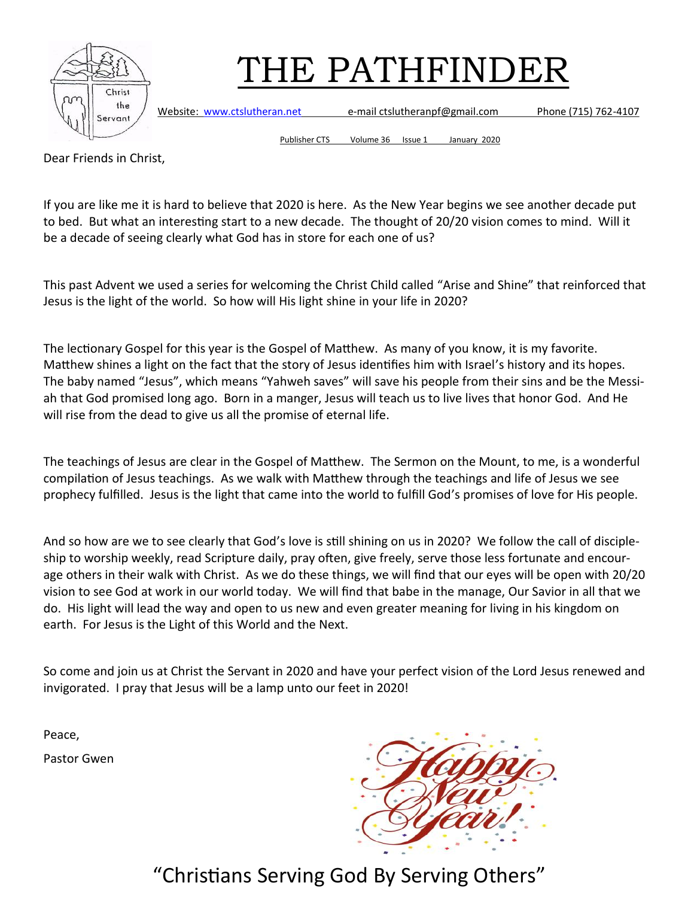

Website: [www.ctslutheran.net](http://www.ctslutheran.net/) e-mail ctslutheranpf@gmail.com Phone (715) 762-4107

Publisher CTS Volume 36 Issue 1 January 2020

Dear Friends in Christ,

If you are like me it is hard to believe that 2020 is here. As the New Year begins we see another decade put to bed. But what an interesting start to a new decade. The thought of 20/20 vision comes to mind. Will it be a decade of seeing clearly what God has in store for each one of us?

This past Advent we used a series for welcoming the Christ Child called "Arise and Shine" that reinforced that Jesus is the light of the world. So how will His light shine in your life in 2020?

The lectionary Gospel for this year is the Gospel of Matthew. As many of you know, it is my favorite. Matthew shines a light on the fact that the story of Jesus identifies him with Israel's history and its hopes. The baby named "Jesus", which means "Yahweh saves" will save his people from their sins and be the Messiah that God promised long ago. Born in a manger, Jesus will teach us to live lives that honor God. And He will rise from the dead to give us all the promise of eternal life.

The teachings of Jesus are clear in the Gospel of Matthew. The Sermon on the Mount, to me, is a wonderful compilation of Jesus teachings. As we walk with Matthew through the teachings and life of Jesus we see prophecy fulfilled. Jesus is the light that came into the world to fulfill God's promises of love for His people.

And so how are we to see clearly that God's love is still shining on us in 2020? We follow the call of discipleship to worship weekly, read Scripture daily, pray often, give freely, serve those less fortunate and encourage others in their walk with Christ. As we do these things, we will find that our eyes will be open with 20/20 vision to see God at work in our world today. We will find that babe in the manage, Our Savior in all that we do. His light will lead the way and open to us new and even greater meaning for living in his kingdom on earth. For Jesus is the Light of this World and the Next.

So come and join us at Christ the Servant in 2020 and have your perfect vision of the Lord Jesus renewed and invigorated. I pray that Jesus will be a lamp unto our feet in 2020!

Peace,

Pastor Gwen

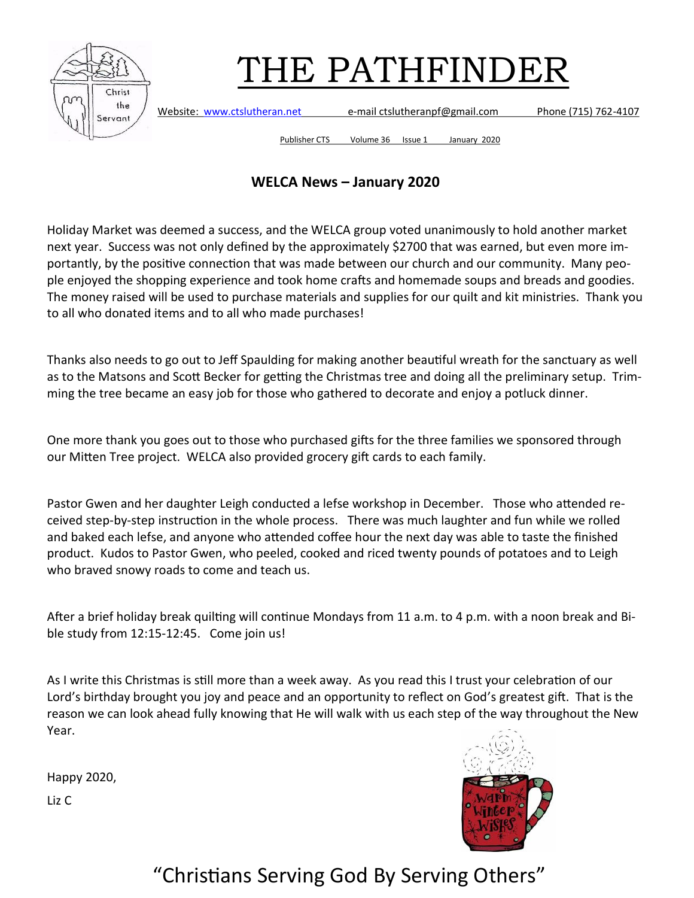

Website: [www.ctslutheran.net](http://www.ctslutheran.net/) e-mail ctslutheranpf@gmail.com Phone (715) 762-4107

Publisher CTS Volume 36 Issue 1 January 2020

#### **WELCA News – January 2020**

Holiday Market was deemed a success, and the WELCA group voted unanimously to hold another market next year. Success was not only defined by the approximately \$2700 that was earned, but even more importantly, by the positive connection that was made between our church and our community. Many people enjoyed the shopping experience and took home crafts and homemade soups and breads and goodies. The money raised will be used to purchase materials and supplies for our quilt and kit ministries. Thank you to all who donated items and to all who made purchases!

Thanks also needs to go out to Jeff Spaulding for making another beautiful wreath for the sanctuary as well as to the Matsons and Scott Becker for getting the Christmas tree and doing all the preliminary setup. Trimming the tree became an easy job for those who gathered to decorate and enjoy a potluck dinner.

One more thank you goes out to those who purchased gifts for the three families we sponsored through our Mitten Tree project. WELCA also provided grocery gift cards to each family.

Pastor Gwen and her daughter Leigh conducted a lefse workshop in December. Those who attended received step-by-step instruction in the whole process. There was much laughter and fun while we rolled and baked each lefse, and anyone who attended coffee hour the next day was able to taste the finished product. Kudos to Pastor Gwen, who peeled, cooked and riced twenty pounds of potatoes and to Leigh who braved snowy roads to come and teach us.

After a brief holiday break quilting will continue Mondays from 11 a.m. to 4 p.m. with a noon break and Bible study from 12:15-12:45. Come join us!

As I write this Christmas is still more than a week away. As you read this I trust your celebration of our Lord's birthday brought you joy and peace and an opportunity to reflect on God's greatest gift. That is the reason we can look ahead fully knowing that He will walk with us each step of the way throughout the New Year.

Happy 2020,

Liz C

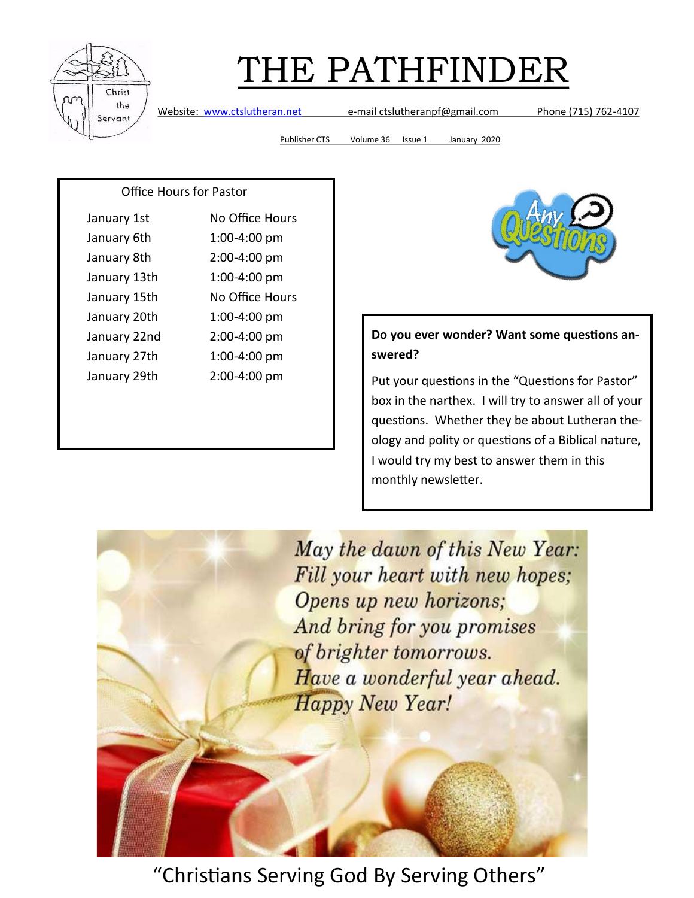

Website: [www.ctslutheran.net](http://www.ctslutheran.net/) e-mail ctslutheranpf@gmail.com Phone (715) 762-4107

Publisher CTS Volume 36 Issue 1 January 2020

#### Office Hours for Pastor

| January 1st  | No Office Hours |
|--------------|-----------------|
| January 6th  | 1:00-4:00 pm    |
| January 8th  | 2:00-4:00 pm    |
| January 13th | 1:00-4:00 pm    |
| January 15th | No Office Hours |
| January 20th | 1:00-4:00 pm    |
| January 22nd | 2:00-4:00 pm    |
| January 27th | 1:00-4:00 pm    |
| January 29th | 2:00-4:00 pm    |
|              |                 |



#### **Do you ever wonder? Want some questions answered?**

Put your questions in the "Questions for Pastor" box in the narthex. I will try to answer all of your questions. Whether they be about Lutheran theology and polity or questions of a Biblical nature, I would try my best to answer them in this monthly newsletter.

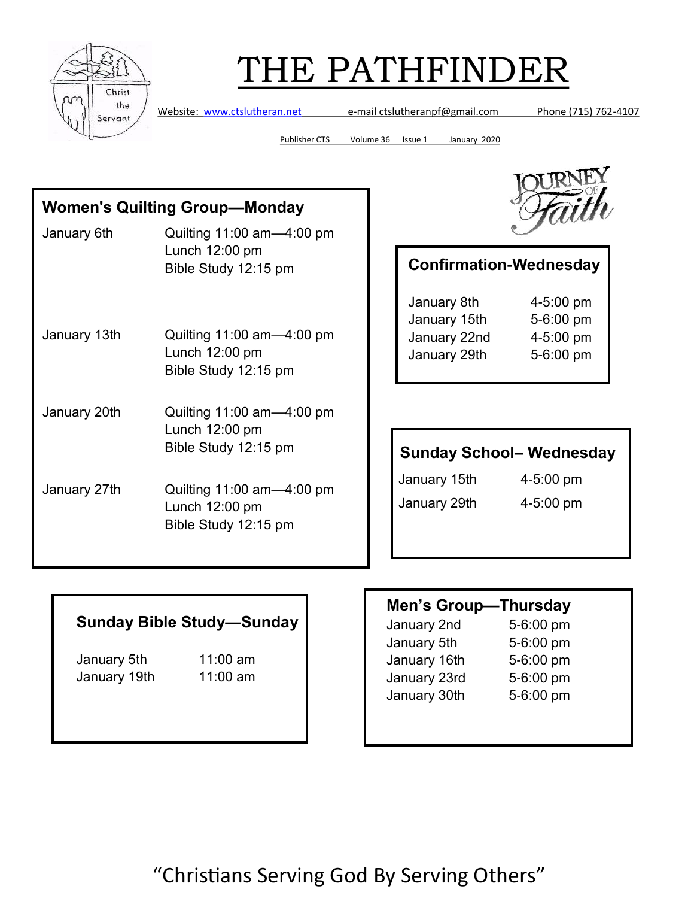

Website: [www.ctslutheran.net](http://www.ctslutheran.net/) e-mail ctslutheranpf@gmail.com Phone (715) 762-4107

Publisher CTS Volume 36 Issue 1 January 2020

#### **Women's Quilting Group—Monday**

January 6th Quilting 11:00 am—4:00 pm Lunch 12:00 pm Bible Study 12:15 pm January 13th Quilting 11:00 am—4:00 pm Lunch 12:00 pm Bible Study 12:15 pm January 20th Quilting 11:00 am—4:00 pm Lunch 12:00 pm Bible Study 12:15 pm January 27th Quilting 11:00 am—4:00 pm Lunch 12:00 pm Bible Study 12:15 pm



#### **Confirmation-Wednesday**

| January 8th  | 4-5:00 pm |
|--------------|-----------|
| January 15th | 5-6:00 pm |
| January 22nd | 4-5:00 pm |
| January 29th | 5-6:00 pm |
|              |           |

#### **Sunday School– Wednesday**

January 15th 4-5:00 pm

January 29th 4-5:00 pm

#### **Sunday Bible Study—Sunday**

January 5th 11:00 am January 19th 11:00 am

#### **Men's Group—Thursday**

January 2nd 5-6:00 pm January 5th 5-6:00 pm January 16th 5-6:00 pm January 23rd 5-6:00 pm January 30th 5-6:00 pm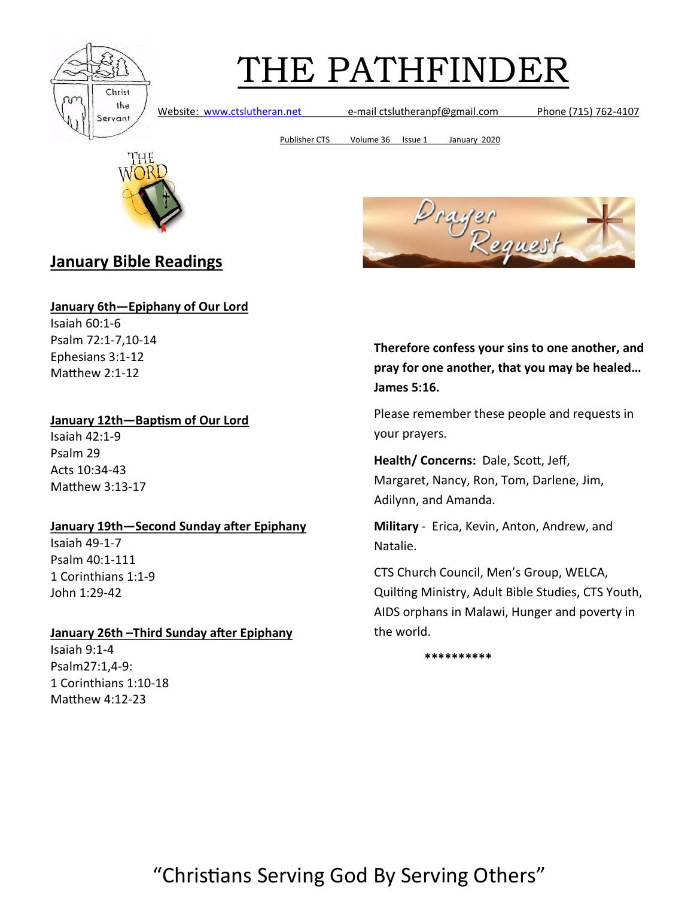

Website: [www.ctslutheran.net](http://www.ctslutheran.net/) e-mail ctslutheranpf@gmail.com Phone (715) 762-4107

Publisher CTS Volume 36 Issue 1 January 2020



**January Bible Readings**

**January 6th—Epiphany of Our Lord** Isaiah 60:1-6 Psalm 72:1-7,10-14 Ephesians 3:1-12

**January 12th—Baptism of Our Lord**

Isaiah 42:1-9 Psalm 29 Acts 10:34-43 Matthew 3:13-17

Matthew 2:1-12

#### **January 19th—Second Sunday after Epiphany**

Isaiah 49-1-7 Psalm 40:1-111 1 Corinthians 1:1-9 John 1:29-42

#### **January 26th –Third Sunday after Epiphany** Isaiah 9:1-4

Psalm27:1,4-9: 1 Corinthians 1:10-18 Matthew 4:12-23



**Therefore confess your sins to one another, and pray for one another, that you may be healed… James 5:16.**

Please remember these people and requests in your prayers.

**Health/ Concerns:** Dale, Scott, Jeff, Margaret, Nancy, Ron, Tom, Darlene, Jim, Adilynn, and Amanda.

**Military** - Erica, Kevin, Anton, Andrew, and Natalie.

CTS Church Council, Men's Group, WELCA, Quilting Ministry, Adult Bible Studies, CTS Youth, AIDS orphans in Malawi, Hunger and poverty in the world.

 **\*\*\*\*\*\*\*\*\*\***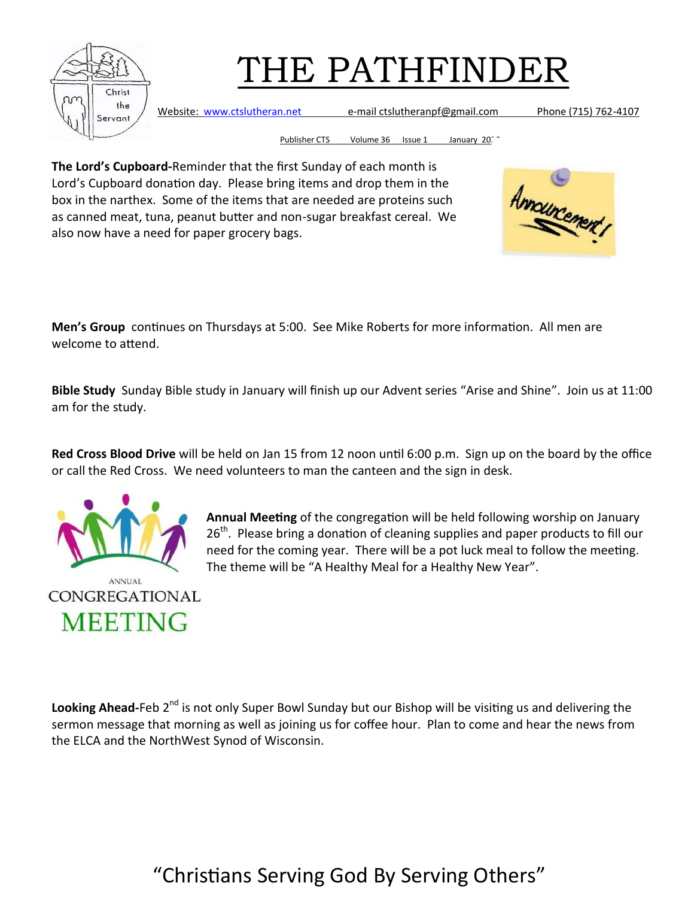

Website: [www.ctslutheran.net](http://www.ctslutheran.net/) e-mail ctslutheranpf@gmail.com Phone (715) 762-4107

Publisher CTS Volume 36 Issue 1 January 2020

**The Lord's Cupboard-**Reminder that the first Sunday of each month is Lord's Cupboard donation day. Please bring items and drop them in the box in the narthex. Some of the items that are needed are proteins such as canned meat, tuna, peanut butter and non-sugar breakfast cereal. We also now have a need for paper grocery bags.



**Men's Group** continues on Thursdays at 5:00. See Mike Roberts for more information. All men are welcome to attend.

**Bible Study** Sunday Bible study in January will finish up our Advent series "Arise and Shine". Join us at 11:00 am for the study.

**Red Cross Blood Drive** will be held on Jan 15 from 12 noon until 6:00 p.m. Sign up on the board by the office or call the Red Cross. We need volunteers to man the canteen and the sign in desk.



**Annual Meeting** of the congregation will be held following worship on January 26<sup>th</sup>. Please bring a donation of cleaning supplies and paper products to fill our need for the coming year. There will be a pot luck meal to follow the meeting. The theme will be "A Healthy Meal for a Healthy New Year".

**Looking Ahead**-Feb 2<sup>nd</sup> is not only Super Bowl Sunday but our Bishop will be visiting us and delivering the sermon message that morning as well as joining us for coffee hour. Plan to come and hear the news from the ELCA and the NorthWest Synod of Wisconsin.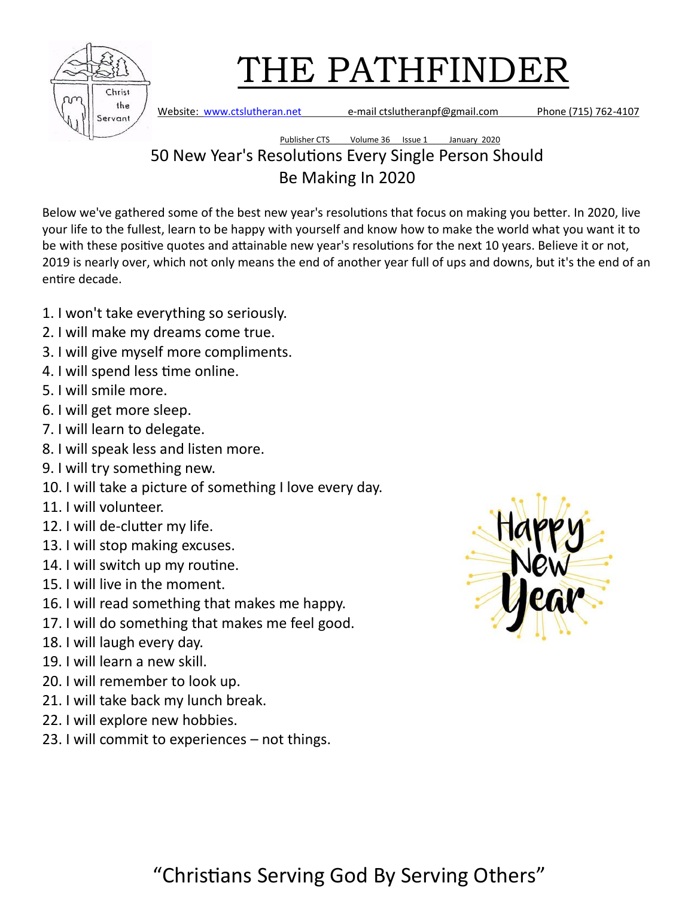| Christ<br>the<br>Servant |
|--------------------------|

Website: [www.ctslutheran.net](http://www.ctslutheran.net/) e-mail ctslutheranpf@gmail.com Phone (715) 762-4107

#### Publisher CTS Volume 36 Issue 1 January 2020 50 New Year's Resolutions Every Single Person Should Be Making In 2020

Below we've gathered some of the best new year's resolutions that focus on making you better. In 2020, live your life to the fullest, learn to be happy with yourself and know how to make the world what you want it to be with these positive quotes and attainable new year's resolutions for the next 10 years. Believe it or not, 2019 is nearly over, which not only means the end of another year full of ups and downs, but it's the end of an entire decade.

- 1. I won't take everything so seriously.
- 2. I will make my dreams come true.
- 3. I will give myself more compliments.
- 4. I will spend less time online.
- 5. I will smile more.
- 6. I will get more sleep.
- 7. I will learn to delegate.
- 8. I will speak less and listen more.
- 9. I will try something new.
- 10. I will take a picture of something I love every day.
- 11. I will volunteer.
- 12. I will de-clutter my life.
- 13. I will stop making excuses.
- 14. I will switch up my routine.
- 15. I will live in the moment.
- 16. I will read something that makes me happy.
- 17. I will do something that makes me feel good.
- 18. I will laugh every day.
- 19. I will learn a new skill.
- 20. I will remember to look up.
- 21. I will take back my lunch break.
- 22. I will explore new hobbies.
- 23. I will commit to experiences not things.

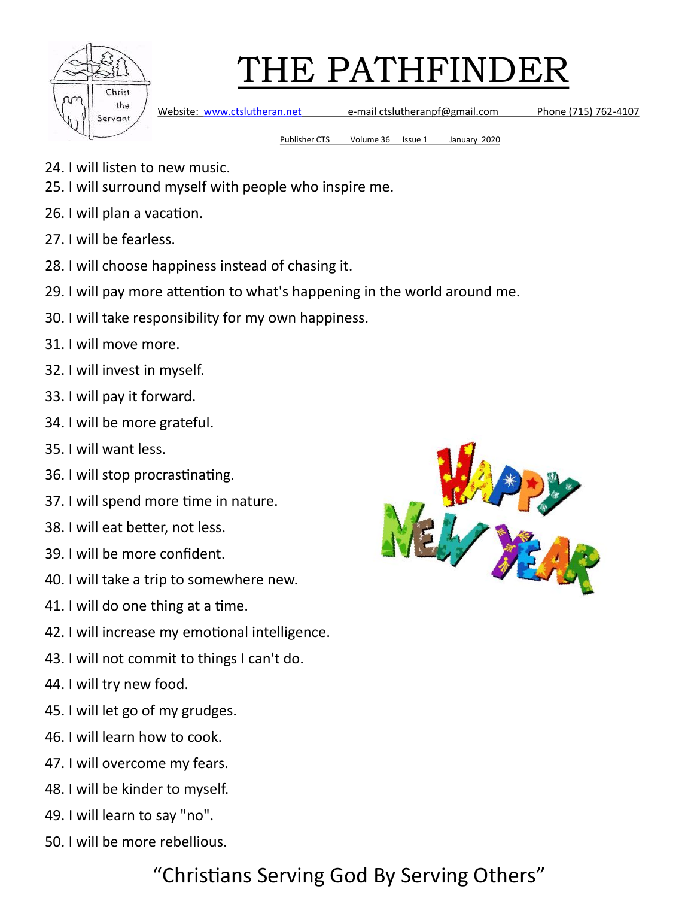

Website: [www.ctslutheran.net](http://www.ctslutheran.net/) e-mail ctslutheranpf@gmail.com Phone (715) 762-4107

Publisher CTS Volume 36 Issue 1 January 2020

- 24. I will listen to new music.
- 25. I will surround myself with people who inspire me.
- 26. I will plan a vacation.
- 27. I will be fearless.
- 28. I will choose happiness instead of chasing it.
- 29. I will pay more attention to what's happening in the world around me.
- 30. I will take responsibility for my own happiness.
- 31. I will move more.
- 32. I will invest in myself.
- 33. I will pay it forward.
- 34. I will be more grateful.
- 35. I will want less.
- 36. I will stop procrastinating.
- 37. I will spend more time in nature.
- 38. I will eat better, not less.
- 39. I will be more confident.
- 40. I will take a trip to somewhere new.
- 41. I will do one thing at a time.
- 42. I will increase my emotional intelligence.
- 43. I will not commit to things I can't do.
- 44. I will try new food.
- 45. I will let go of my grudges.
- 46. I will learn how to cook.
- 47. I will overcome my fears.
- 48. I will be kinder to myself.
- 49. I will learn to say "no".
- 50. I will be more rebellious.

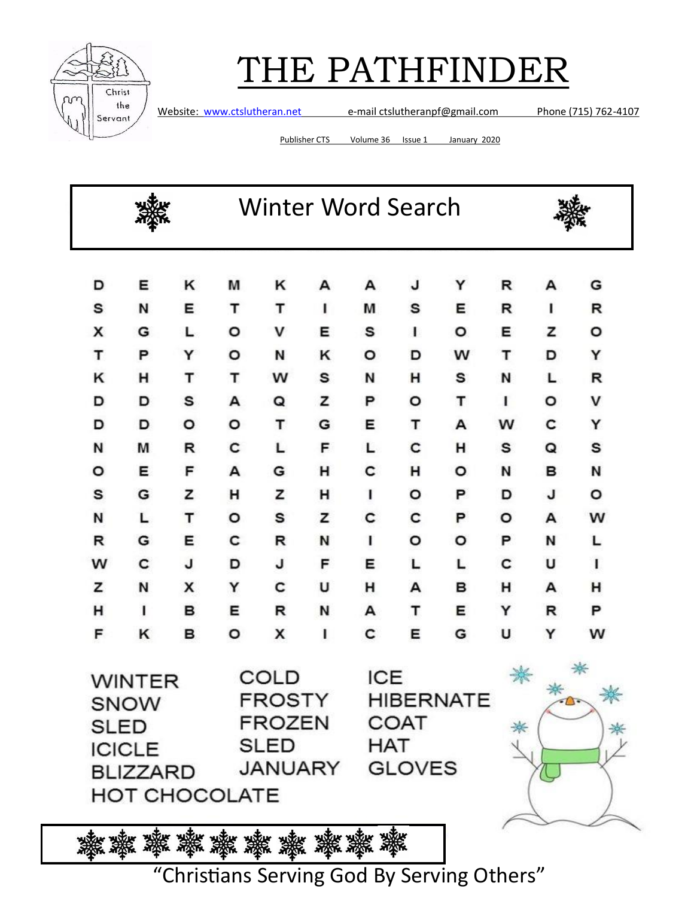

Website: [www.ctslutheran.net](http://www.ctslutheran.net/) e-mail ctslutheranpf@gmail.com Phone (715) 762-4107

Publisher CTS Volume 36 Issue 1 January 2020

|                   |                                                                                                                                                        |   |                                                                | <b>Winter Word Search</b> |   |   |        |        |   |   |   |
|-------------------|--------------------------------------------------------------------------------------------------------------------------------------------------------|---|----------------------------------------------------------------|---------------------------|---|---|--------|--------|---|---|---|
| D                 | Ε                                                                                                                                                      | κ | М                                                              | κ                         | А | А | J      | Y      | R | А | G |
| s                 | N                                                                                                                                                      | Е | т                                                              | т                         | 1 | М | s      | Е      | R | ı | R |
| x                 | G                                                                                                                                                      | L | o                                                              | v                         | Е | s | T      | о      | Е | z | ٥ |
| т                 | P                                                                                                                                                      | Y | o                                                              | Ν                         | κ | o | D      | w      | т | D | Y |
| κ                 | н                                                                                                                                                      | т | т                                                              | w                         | s | И | н      | s      | N | L | R |
| D                 | D                                                                                                                                                      | s | А                                                              | Q                         | z | P | o      | т      | 1 | ٥ | v |
| D                 | D                                                                                                                                                      | o | o                                                              | т                         | G | Е | т      | А      | w | с | Y |
| N                 | М                                                                                                                                                      | R | c                                                              | L                         | F | L | c      | н      | s | Q | s |
| o                 | Е                                                                                                                                                      | F | А                                                              | G                         | н | с | н      | ٥      | N | в | N |
| s                 | G                                                                                                                                                      | z | н                                                              | z                         | н | ı | o      | P      | D | J | ۰ |
| Ν                 | L                                                                                                                                                      | т | o                                                              | s                         | z | c | с      | P      | ٥ | А | w |
| R                 | G                                                                                                                                                      | Е | с                                                              | R                         | N | ı | o      | ۰      | P | N | L |
| w                 | с                                                                                                                                                      | J | D                                                              | J                         | F | Е | L      | L      | c | U | ı |
| z                 | N                                                                                                                                                      | x | Υ                                                              | c                         | U | н | А      | в      | н | А | н |
| н                 | ı                                                                                                                                                      | в | Е                                                              | R                         | N | А | т      | Е      | Y | R | P |
| F                 | κ                                                                                                                                                      | в | o                                                              | x                         | ı | с | Е      | G      | U | Y | w |
|                   | COLD<br>WINTER<br>FROSTY<br><b>SNOW</b><br><b>FROZEN</b><br>SLED<br><b>SLED</b><br><b>ICICLE</b><br>JANUARY<br><b>BLIZZARD</b><br><b>HOT CHOCOLATE</b> |   | <b>ICE</b><br><b>HIBERNATE</b><br>COAT<br>HAT<br><b>GLOVES</b> |                           |   | ⋇ | $\tau$ | ☀<br>₩ |   |   |   |
| 灘<br>数数 蒸 蒸 蒸 蒸 蒸 |                                                                                                                                                        |   |                                                                |                           |   |   |        |        |   |   |   |

ঞ্চুক *স্ক্ষুক্ষ স্ক্ষুক্ষ স্ক্ষুক্ষ স্ক্ষুক্ষ স্ক্ষু*ক্ষ<br>"Christians Serving God By Serving Others"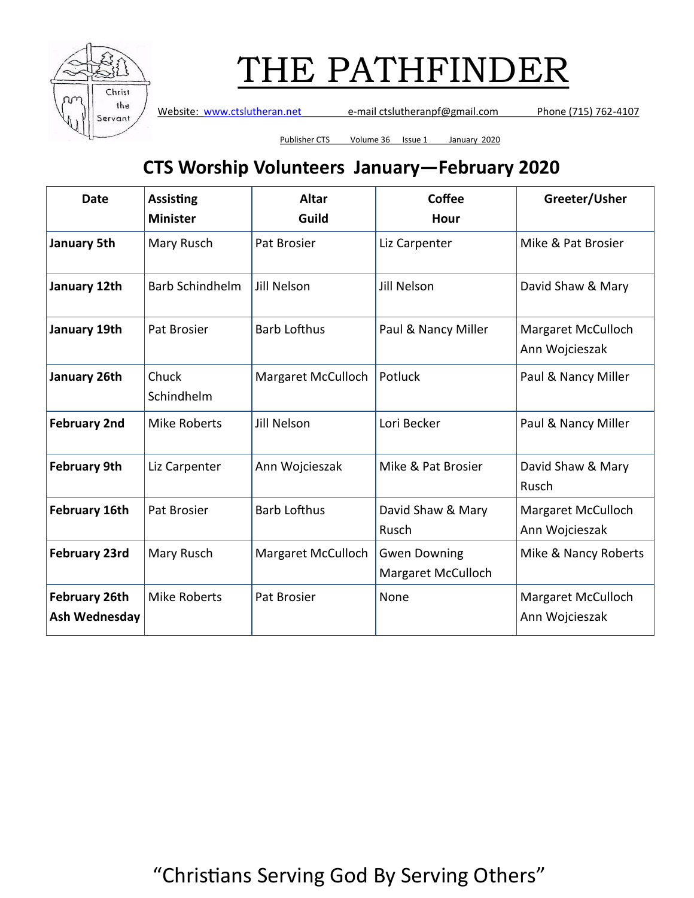

Website: [www.ctslutheran.net](http://www.ctslutheran.net/) e-mail ctslutheranpf@gmail.com Phone (715) 762-4107

Publisher CTS Volume 36 Issue 1 January 2020

### **CTS Worship Volunteers January—February 2020**

| <b>Date</b>                           | <b>Assisting</b><br><b>Minister</b> | <b>Altar</b><br>Guild | Coffee<br>Hour                            | Greeter/Usher                               |  |
|---------------------------------------|-------------------------------------|-----------------------|-------------------------------------------|---------------------------------------------|--|
| January 5th                           | Mary Rusch                          | Pat Brosier           | Liz Carpenter                             | Mike & Pat Brosier                          |  |
| January 12th                          | <b>Barb Schindhelm</b>              | Jill Nelson           | Jill Nelson                               | David Shaw & Mary                           |  |
| January 19th                          | Pat Brosier                         | <b>Barb Lofthus</b>   | Paul & Nancy Miller                       | Margaret McCulloch<br>Ann Wojcieszak        |  |
| January 26th                          | Chuck<br>Schindhelm                 | Margaret McCulloch    | Potluck                                   | Paul & Nancy Miller                         |  |
| <b>February 2nd</b>                   | <b>Mike Roberts</b>                 | <b>Jill Nelson</b>    | Lori Becker                               | Paul & Nancy Miller                         |  |
| <b>February 9th</b>                   | Liz Carpenter                       | Ann Wojcieszak        | Mike & Pat Brosier                        | David Shaw & Mary<br>Rusch                  |  |
| <b>February 16th</b>                  | Pat Brosier                         | <b>Barb Lofthus</b>   | David Shaw & Mary<br>Rusch                | <b>Margaret McCulloch</b><br>Ann Wojcieszak |  |
| <b>February 23rd</b>                  | Mary Rusch                          | Margaret McCulloch    | <b>Gwen Downing</b><br>Margaret McCulloch | Mike & Nancy Roberts                        |  |
| <b>February 26th</b><br>Ash Wednesday | <b>Mike Roberts</b>                 | Pat Brosier           | None                                      | Margaret McCulloch<br>Ann Wojcieszak        |  |